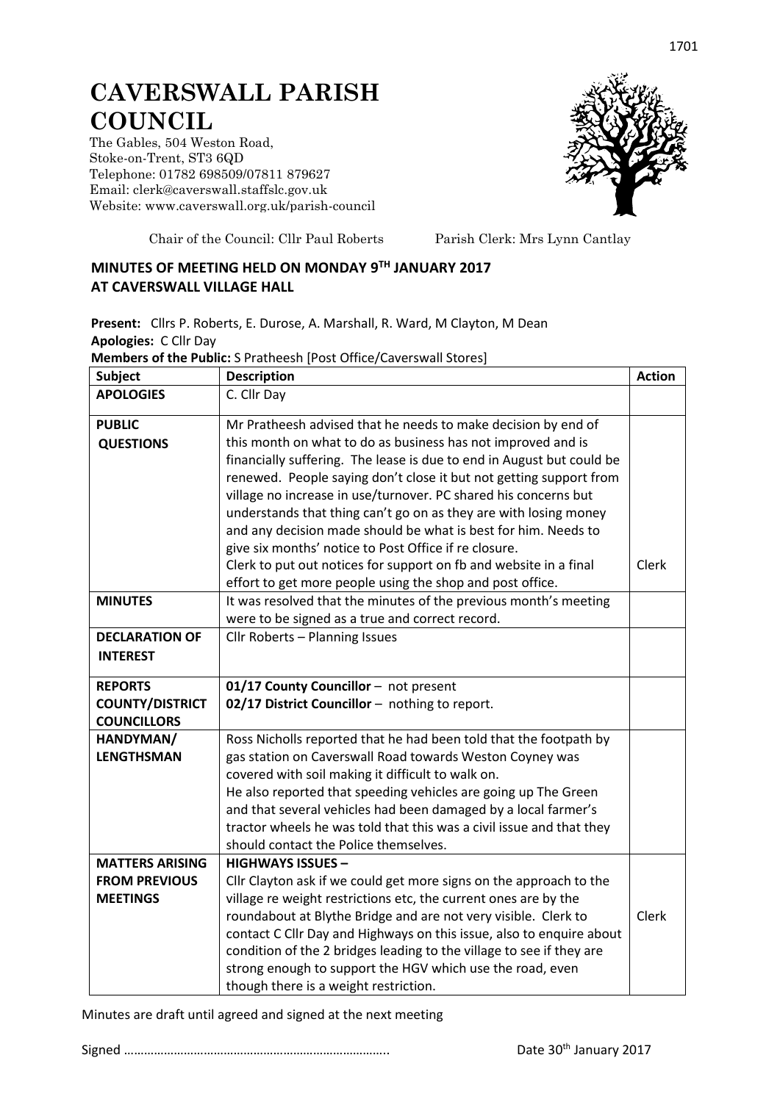## **CAVERSWALL PARISH COUNCIL**

The Gables, 504 Weston Road, Stoke-on-Trent, ST3 6QD Telephone: 01782 698509/07811 879627 Email: clerk@caverswall.staffslc.gov.uk Website: [www.c](http://www.dilhorneparishcouncil.co.uk/)averswall.org.uk/parish-council



Chair of the Council: Cllr Paul Roberts Parish Clerk: Mrs Lynn Cantlay

## **MINUTES OF MEETING HELD ON MONDAY 9 TH JANUARY 2017 AT CAVERSWALL VILLAGE HALL**

**Present:** Cllrs P. Roberts, E. Durose, A. Marshall, R. Ward, M Clayton, M Dean **Apologies:** C Cllr Day

**Members of the Public:** S Pratheesh [Post Office/Caverswall Stores]

| <b>Subject</b>         | <b>Description</b>                                                    | <b>Action</b> |
|------------------------|-----------------------------------------------------------------------|---------------|
| <b>APOLOGIES</b>       | C. Cllr Day                                                           |               |
| <b>PUBLIC</b>          | Mr Pratheesh advised that he needs to make decision by end of         |               |
| <b>QUESTIONS</b>       | this month on what to do as business has not improved and is          |               |
|                        | financially suffering. The lease is due to end in August but could be |               |
|                        | renewed. People saying don't close it but not getting support from    |               |
|                        | village no increase in use/turnover. PC shared his concerns but       |               |
|                        | understands that thing can't go on as they are with losing money      |               |
|                        | and any decision made should be what is best for him. Needs to        |               |
|                        | give six months' notice to Post Office if re closure.                 |               |
|                        | Clerk to put out notices for support on fb and website in a final     | Clerk         |
|                        | effort to get more people using the shop and post office.             |               |
| <b>MINUTES</b>         | It was resolved that the minutes of the previous month's meeting      |               |
|                        | were to be signed as a true and correct record.                       |               |
| <b>DECLARATION OF</b>  | Cllr Roberts - Planning Issues                                        |               |
| <b>INTEREST</b>        |                                                                       |               |
| <b>REPORTS</b>         | 01/17 County Councillor - not present                                 |               |
| <b>COUNTY/DISTRICT</b> | 02/17 District Councillor - nothing to report.                        |               |
| <b>COUNCILLORS</b>     |                                                                       |               |
| HANDYMAN/              | Ross Nicholls reported that he had been told that the footpath by     |               |
| <b>LENGTHSMAN</b>      | gas station on Caverswall Road towards Weston Coyney was              |               |
|                        | covered with soil making it difficult to walk on.                     |               |
|                        | He also reported that speeding vehicles are going up The Green        |               |
|                        | and that several vehicles had been damaged by a local farmer's        |               |
|                        | tractor wheels he was told that this was a civil issue and that they  |               |
|                        | should contact the Police themselves.                                 |               |
| <b>MATTERS ARISING</b> | <b>HIGHWAYS ISSUES -</b>                                              |               |
| <b>FROM PREVIOUS</b>   | Cllr Clayton ask if we could get more signs on the approach to the    |               |
| <b>MEETINGS</b>        | village re weight restrictions etc, the current ones are by the       |               |
|                        | roundabout at Blythe Bridge and are not very visible. Clerk to        | Clerk         |
|                        | contact C Cllr Day and Highways on this issue, also to enquire about  |               |
|                        | condition of the 2 bridges leading to the village to see if they are  |               |
|                        | strong enough to support the HGV which use the road, even             |               |
|                        | though there is a weight restriction.                                 |               |

Minutes are draft until agreed and signed at the next meeting

Signed …………………………………………………………………….. Date 30th January 2017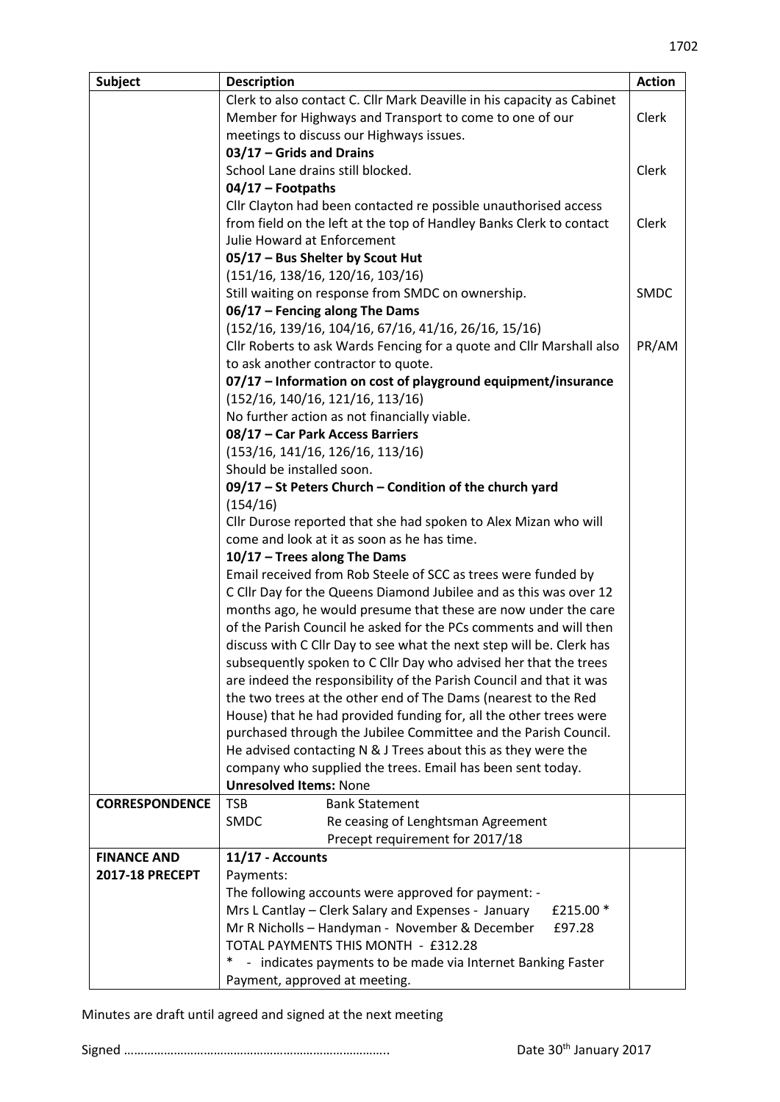| <b>Subject</b>         | <b>Description</b>                                                     | <b>Action</b> |
|------------------------|------------------------------------------------------------------------|---------------|
|                        | Clerk to also contact C. Cllr Mark Deaville in his capacity as Cabinet |               |
|                        | Member for Highways and Transport to come to one of our                | Clerk         |
|                        | meetings to discuss our Highways issues.                               |               |
|                        | 03/17 - Grids and Drains                                               |               |
|                        | School Lane drains still blocked.                                      | Clerk         |
|                        | $04/17$ – Footpaths                                                    |               |
|                        | Cllr Clayton had been contacted re possible unauthorised access        |               |
|                        | from field on the left at the top of Handley Banks Clerk to contact    | Clerk         |
|                        | Julie Howard at Enforcement                                            |               |
|                        | 05/17 - Bus Shelter by Scout Hut                                       |               |
|                        | (151/16, 138/16, 120/16, 103/16)                                       |               |
|                        | Still waiting on response from SMDC on ownership.                      | <b>SMDC</b>   |
|                        | 06/17 - Fencing along The Dams                                         |               |
|                        | $(152/16, 139/16, 104/16, 67/16, 41/16, 26/16, 15/16)$                 |               |
|                        | Cllr Roberts to ask Wards Fencing for a quote and Cllr Marshall also   | PR/AM         |
|                        | to ask another contractor to quote.                                    |               |
|                        |                                                                        |               |
|                        | 07/17 - Information on cost of playground equipment/insurance          |               |
|                        | (152/16, 140/16, 121/16, 113/16)                                       |               |
|                        | No further action as not financially viable.                           |               |
|                        | 08/17 - Car Park Access Barriers                                       |               |
|                        | (153/16, 141/16, 126/16, 113/16)                                       |               |
|                        | Should be installed soon.                                              |               |
|                        | 09/17 - St Peters Church - Condition of the church yard                |               |
|                        | (154/16)                                                               |               |
|                        | Cllr Durose reported that she had spoken to Alex Mizan who will        |               |
|                        | come and look at it as soon as he has time.                            |               |
|                        | 10/17 - Trees along The Dams                                           |               |
|                        | Email received from Rob Steele of SCC as trees were funded by          |               |
|                        | C Cllr Day for the Queens Diamond Jubilee and as this was over 12      |               |
|                        | months ago, he would presume that these are now under the care         |               |
|                        | of the Parish Council he asked for the PCs comments and will then      |               |
|                        | discuss with C Cllr Day to see what the next step will be. Clerk has   |               |
|                        | subsequently spoken to C Cllr Day who advised her that the trees       |               |
|                        | are indeed the responsibility of the Parish Council and that it was    |               |
|                        | the two trees at the other end of The Dams (nearest to the Red         |               |
|                        | House) that he had provided funding for, all the other trees were      |               |
|                        | purchased through the Jubilee Committee and the Parish Council.        |               |
|                        | He advised contacting N & J Trees about this as they were the          |               |
|                        | company who supplied the trees. Email has been sent today.             |               |
|                        | <b>Unresolved Items: None</b>                                          |               |
| <b>CORRESPONDENCE</b>  | <b>TSB</b><br><b>Bank Statement</b>                                    |               |
|                        | <b>SMDC</b><br>Re ceasing of Lenghtsman Agreement                      |               |
|                        | Precept requirement for 2017/18                                        |               |
| <b>FINANCE AND</b>     | 11/17 - Accounts                                                       |               |
| <b>2017-18 PRECEPT</b> | Payments:                                                              |               |
|                        | The following accounts were approved for payment: -                    |               |
|                        | Mrs L Cantlay – Clerk Salary and Expenses - January<br>£215.00 *       |               |
|                        | Mr R Nicholls - Handyman - November & December<br>£97.28               |               |
|                        | TOTAL PAYMENTS THIS MONTH - £312.28                                    |               |
|                        | - indicates payments to be made via Internet Banking Faster            |               |
|                        | Payment, approved at meeting.                                          |               |

Minutes are draft until agreed and signed at the next meeting

Signed …………………………………………………………………….. Date 30th January 2017